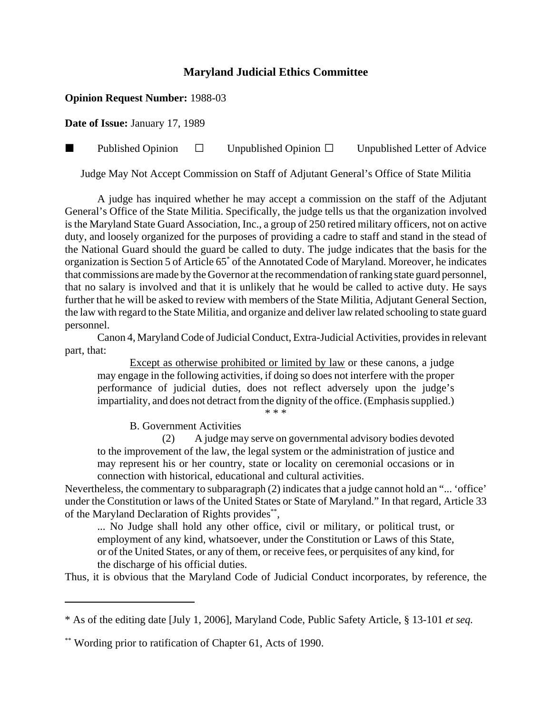# **Maryland Judicial Ethics Committee**

## **Opinion Request Number:** 1988-03

**Date of Issue:** January 17, 1989

**Published Opinion**  $\Box$  Unpublished Opinion  $\Box$  Unpublished Letter of Advice

Judge May Not Accept Commission on Staff of Adjutant General's Office of State Militia

A judge has inquired whether he may accept a commission on the staff of the Adjutant General's Office of the State Militia. Specifically, the judge tells us that the organization involved is the Maryland State Guard Association, Inc., a group of 250 retired military officers, not on active duty, and loosely organized for the purposes of providing a cadre to staff and stand in the stead of the National Guard should the guard be called to duty. The judge indicates that the basis for the organization is Section 5 of Article 65<sup>\*</sup> of the Annotated Code of Maryland. Moreover, he indicates that commissions are made by the Governor at the recommendation of ranking state guard personnel, that no salary is involved and that it is unlikely that he would be called to active duty. He says further that he will be asked to review with members of the State Militia, Adjutant General Section, the law with regard to the State Militia, and organize and deliver law related schooling to state guard personnel.

Canon 4, Maryland Code of Judicial Conduct, Extra-Judicial Activities, provides in relevant part, that:

Except as otherwise prohibited or limited by law or these canons, a judge may engage in the following activities, if doing so does not interfere with the proper performance of judicial duties, does not reflect adversely upon the judge's impartiality, and does not detract from the dignity of the office. (Emphasis supplied.)

\* \* \*

B. Government Activities

(2) A judge may serve on governmental advisory bodies devoted to the improvement of the law, the legal system or the administration of justice and may represent his or her country, state or locality on ceremonial occasions or in connection with historical, educational and cultural activities.

Nevertheless, the commentary to subparagraph (2) indicates that a judge cannot hold an "... 'office' under the Constitution or laws of the United States or State of Maryland." In that regard, Article 33 of the Maryland Declaration of Rights provides\*\*,

... No Judge shall hold any other office, civil or military, or political trust, or employment of any kind, whatsoever, under the Constitution or Laws of this State, or of the United States, or any of them, or receive fees, or perquisites of any kind, for the discharge of his official duties.

Thus, it is obvious that the Maryland Code of Judicial Conduct incorporates, by reference, the

<sup>\*</sup> As of the editing date [July 1, 2006], Maryland Code, Public Safety Article, § 13-101 *et seq.*

<sup>\*\*</sup> Wording prior to ratification of Chapter 61, Acts of 1990.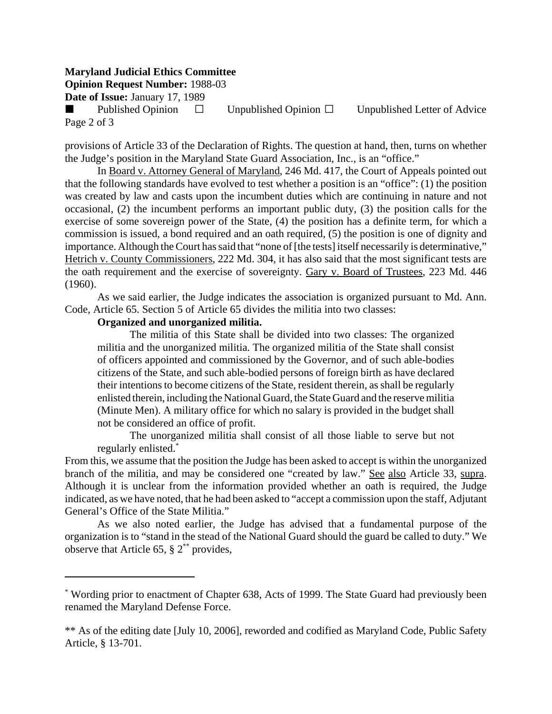#### **Maryland Judicial Ethics Committee**

**Opinion Request Number:** 1988-03

**Date of Issue:** January 17, 1989

Published Opinion  $\square$  Unpublished Opinion  $\square$  Unpublished Letter of Advice Page 2 of 3

provisions of Article 33 of the Declaration of Rights. The question at hand, then, turns on whether the Judge's position in the Maryland State Guard Association, Inc., is an "office."

In Board v. Attorney General of Maryland, 246 Md. 417, the Court of Appeals pointed out that the following standards have evolved to test whether a position is an "office": (1) the position was created by law and casts upon the incumbent duties which are continuing in nature and not occasional, (2) the incumbent performs an important public duty, (3) the position calls for the exercise of some sovereign power of the State, (4) the position has a definite term, for which a commission is issued, a bond required and an oath required, (5) the position is one of dignity and importance. Although the Court has said that "none of [the tests] itself necessarily is determinative," Hetrich v. County Commissioners, 222 Md. 304, it has also said that the most significant tests are the oath requirement and the exercise of sovereignty. Gary v. Board of Trustees, 223 Md. 446 (1960).

As we said earlier, the Judge indicates the association is organized pursuant to Md. Ann. Code, Article 65. Section 5 of Article 65 divides the militia into two classes:

### **Organized and unorganized militia.**

The militia of this State shall be divided into two classes: The organized militia and the unorganized militia. The organized militia of the State shall consist of officers appointed and commissioned by the Governor, and of such able-bodies citizens of the State, and such able-bodied persons of foreign birth as have declared their intentions to become citizens of the State, resident therein, as shall be regularly enlisted therein, including the National Guard, the State Guard and the reserve militia (Minute Men). A military office for which no salary is provided in the budget shall not be considered an office of profit.

The unorganized militia shall consist of all those liable to serve but not regularly enlisted.\*

From this, we assume that the position the Judge has been asked to accept is within the unorganized branch of the militia, and may be considered one "created by law." See also Article 33, supra. Although it is unclear from the information provided whether an oath is required, the Judge indicated, as we have noted, that he had been asked to "accept a commission upon the staff, Adjutant General's Office of the State Militia."

As we also noted earlier, the Judge has advised that a fundamental purpose of the organization is to "stand in the stead of the National Guard should the guard be called to duty." We observe that Article 65,  $\S 2^{**}$  provides,

<sup>\*</sup> Wording prior to enactment of Chapter 638, Acts of 1999. The State Guard had previously been renamed the Maryland Defense Force.

<sup>\*\*</sup> As of the editing date [July 10, 2006], reworded and codified as Maryland Code, Public Safety Article, § 13-701.